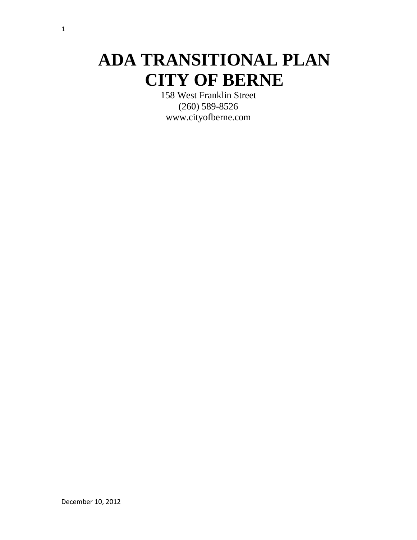# **ADA TRANSITIONAL PLAN CITY OF BERNE**

158 West Franklin Street (260) 589-8526 www.cityofberne.com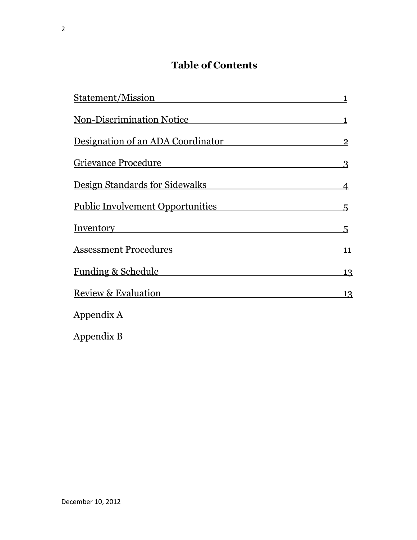# **Table of Contents**

| Statement/Mission                                                                                                                                        | 1              |
|----------------------------------------------------------------------------------------------------------------------------------------------------------|----------------|
| <b>Non-Discrimination Notice</b><br><u> 1989 - Johann Stoff, deutscher Stoff, der Stoff, der Stoff, der Stoff, der Stoff, der Stoff, der Stoff, der </u> | 1              |
| Designation of an ADA Coordinator                                                                                                                        | $\overline{2}$ |
| <b>Grievance Procedure</b>                                                                                                                               | 3              |
| <u>Design Standards for Sidewalks</u>                                                                                                                    | $\overline{4}$ |
| <b>Public Involvement Opportunities</b>                                                                                                                  | 5              |
| <u>Inventory</u>                                                                                                                                         | 5.             |
| Assessment Procedures                                                                                                                                    | 11             |
| <b>Funding &amp; Schedule</b>                                                                                                                            | 13             |
| <b>Review &amp; Evaluation</b>                                                                                                                           | 13             |
| Appendix A                                                                                                                                               |                |
| Appendix B                                                                                                                                               |                |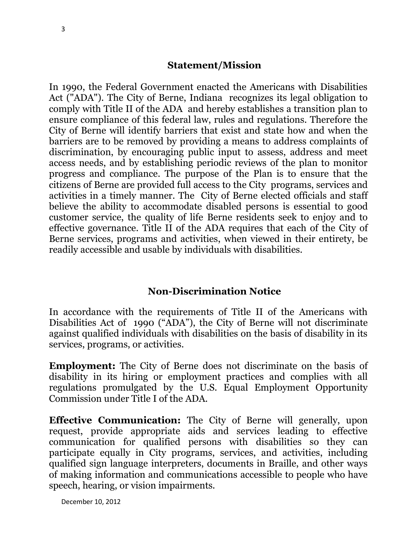#### **Statement/Mission**

In 1990, the Federal Government enacted the Americans with Disabilities Act ("ADA"). The City of Berne, Indiana recognizes its legal obligation to comply with Title II of the ADA and hereby establishes a transition plan to ensure compliance of this federal law, rules and regulations. Therefore the City of Berne will identify barriers that exist and state how and when the barriers are to be removed by providing a means to address complaints of discrimination, by encouraging public input to assess, address and meet access needs, and by establishing periodic reviews of the plan to monitor progress and compliance. The purpose of the Plan is to ensure that the citizens of Berne are provided full access to the City programs, services and activities in a timely manner. The City of Berne elected officials and staff believe the ability to accommodate disabled persons is essential to good customer service, the quality of life Berne residents seek to enjoy and to effective governance. Title II of the ADA requires that each of the City of Berne services, programs and activities, when viewed in their entirety, be readily accessible and usable by individuals with disabilities.

#### **Non-Discrimination Notice**

In accordance with the requirements of Title II of the Americans with Disabilities Act of 1990 ("ADA"), the City of Berne will not discriminate against qualified individuals with disabilities on the basis of disability in its services, programs, or activities.

**Employment:** The City of Berne does not discriminate on the basis of disability in its hiring or employment practices and complies with all regulations promulgated by the U.S. Equal Employment Opportunity Commission under Title I of the ADA.

**Effective Communication:** The City of Berne will generally, upon request, provide appropriate aids and services leading to effective communication for qualified persons with disabilities so they can participate equally in City programs, services, and activities, including qualified sign language interpreters, documents in Braille, and other ways of making information and communications accessible to people who have speech, hearing, or vision impairments.

December 10, 2012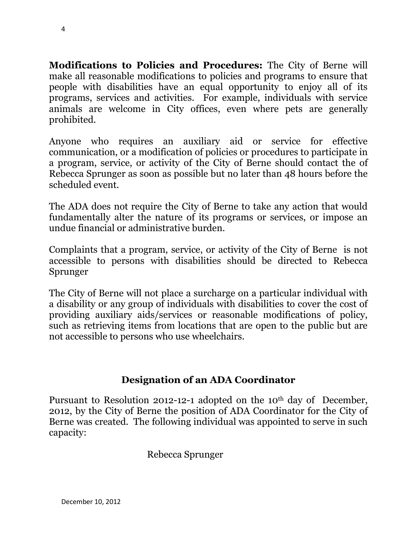**Modifications to Policies and Procedures:** The City of Berne will make all reasonable modifications to policies and programs to ensure that people with disabilities have an equal opportunity to enjoy all of its programs, services and activities. For example, individuals with service animals are welcome in City offices, even where pets are generally prohibited.

Anyone who requires an auxiliary aid or service for effective communication, or a modification of policies or procedures to participate in a program, service, or activity of the City of Berne should contact the of Rebecca Sprunger as soon as possible but no later than 48 hours before the scheduled event.

The ADA does not require the City of Berne to take any action that would fundamentally alter the nature of its programs or services, or impose an undue financial or administrative burden.

Complaints that a program, service, or activity of the City of Berne is not accessible to persons with disabilities should be directed to Rebecca Sprunger

The City of Berne will not place a surcharge on a particular individual with a disability or any group of individuals with disabilities to cover the cost of providing auxiliary aids/services or reasonable modifications of policy, such as retrieving items from locations that are open to the public but are not accessible to persons who use wheelchairs.

# **Designation of an ADA Coordinator**

Pursuant to Resolution 2012-12-1 adopted on the 10<sup>th</sup> day of December, 2012, by the City of Berne the position of ADA Coordinator for the City of Berne was created. The following individual was appointed to serve in such capacity:

Rebecca Sprunger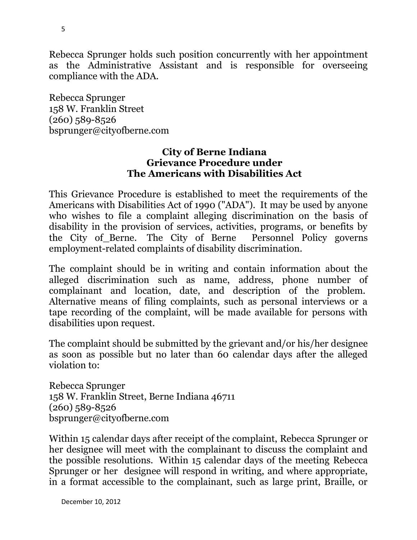Rebecca Sprunger holds such position concurrently with her appointment as the Administrative Assistant and is responsible for overseeing compliance with the ADA.

Rebecca Sprunger 158 W. Franklin Street (260) 589-8526 bsprunger@cityofberne.com

#### **City of Berne Indiana Grievance Procedure under The Americans with Disabilities Act**

This Grievance Procedure is established to meet the requirements of the Americans with Disabilities Act of 1990 ("ADA"). It may be used by anyone who wishes to file a complaint alleging discrimination on the basis of disability in the provision of services, activities, programs, or benefits by the City of\_Berne. The City of Berne Personnel Policy governs employment-related complaints of disability discrimination.

The complaint should be in writing and contain information about the alleged discrimination such as name, address, phone number of complainant and location, date, and description of the problem. Alternative means of filing complaints, such as personal interviews or a tape recording of the complaint, will be made available for persons with disabilities upon request.

The complaint should be submitted by the grievant and/or his/her designee as soon as possible but no later than 60 calendar days after the alleged violation to:

Rebecca Sprunger 158 W. Franklin Street, Berne Indiana 46711 (260) 589-8526 bsprunger@cityofberne.com

Within 15 calendar days after receipt of the complaint, Rebecca Sprunger or her designee will meet with the complainant to discuss the complaint and the possible resolutions. Within 15 calendar days of the meeting Rebecca Sprunger or her designee will respond in writing, and where appropriate, in a format accessible to the complainant, such as large print, Braille, or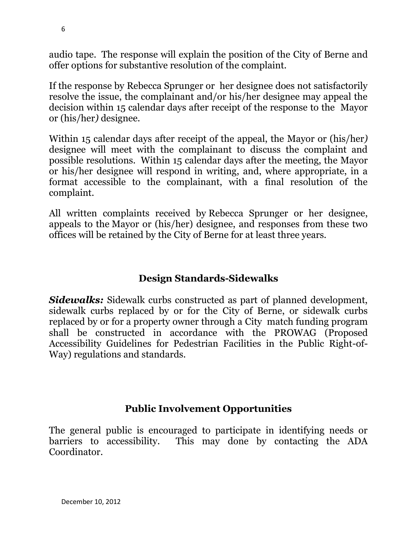audio tape. The response will explain the position of the City of Berne and offer options for substantive resolution of the complaint.

If the response by Rebecca Sprunger or her designee does not satisfactorily resolve the issue, the complainant and/or his/her designee may appeal the decision within 15 calendar days after receipt of the response to the Mayor or (his/her*)* designee.

Within 15 calendar days after receipt of the appeal, the Mayor or (his/her*)* designee will meet with the complainant to discuss the complaint and possible resolutions. Within 15 calendar days after the meeting, the Mayor or his/her designee will respond in writing, and, where appropriate, in a format accessible to the complainant, with a final resolution of the complaint.

All written complaints received by Rebecca Sprunger or her designee, appeals to the Mayor or (his/her) designee, and responses from these two offices will be retained by the City of Berne for at least three years.

# **Design Standards-Sidewalks**

*Sidewalks:* Sidewalk curbs constructed as part of planned development, sidewalk curbs replaced by or for the City of Berne, or sidewalk curbs replaced by or for a property owner through a City match funding program shall be constructed in accordance with the PROWAG (Proposed Accessibility Guidelines for Pedestrian Facilities in the Public Right-of-Way) regulations and standards.

# **Public Involvement Opportunities**

The general public is encouraged to participate in identifying needs or barriers to accessibility. This may done by contacting the ADA Coordinator.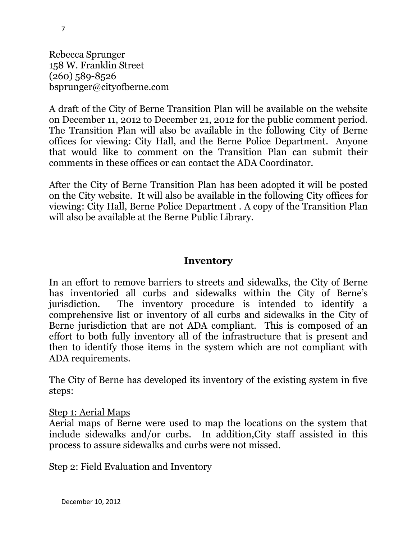Rebecca Sprunger 158 W. Franklin Street (260) 589-8526 bsprunger@cityofberne.com

A draft of the City of Berne Transition Plan will be available on the website on December 11, 2012 to December 21, 2012 for the public comment period. The Transition Plan will also be available in the following City of Berne offices for viewing: City Hall, and the Berne Police Department. Anyone that would like to comment on the Transition Plan can submit their comments in these offices or can contact the ADA Coordinator.

After the City of Berne Transition Plan has been adopted it will be posted on the City website. It will also be available in the following City offices for viewing: City Hall, Berne Police Department . A copy of the Transition Plan will also be available at the Berne Public Library.

### **Inventory**

In an effort to remove barriers to streets and sidewalks, the City of Berne has inventoried all curbs and sidewalks within the City of Berne's jurisdiction. The inventory procedure is intended to identify a comprehensive list or inventory of all curbs and sidewalks in the City of Berne jurisdiction that are not ADA compliant. This is composed of an effort to both fully inventory all of the infrastructure that is present and then to identify those items in the system which are not compliant with ADA requirements.

The City of Berne has developed its inventory of the existing system in five steps:

#### Step 1: Aerial Maps

Aerial maps of Berne were used to map the locations on the system that include sidewalks and/or curbs. In addition,City staff assisted in this process to assure sidewalks and curbs were not missed.

Step 2: Field Evaluation and Inventory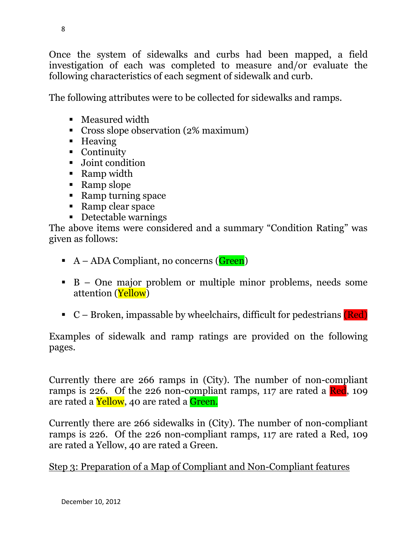Once the system of sidewalks and curbs had been mapped, a field investigation of each was completed to measure and/or evaluate the following characteristics of each segment of sidewalk and curb.

The following attributes were to be collected for sidewalks and ramps.

- Measured width
- Cross slope observation (2% maximum)
- Heaving
- Continuity
- Joint condition
- Ramp width
- Ramp slope
- Ramp turning space
- Ramp clear space
- Detectable warnings

The above items were considered and a summary "Condition Rating" was given as follows:

- $A ADA$  Compliant, no concerns (Green)
- B One major problem or multiple minor problems, needs some attention (Yellow)
- $\blacksquare$  C Broken, impassable by wheelchairs, difficult for pedestrians (Red)

Examples of sidewalk and ramp ratings are provided on the following pages.

Currently there are 266 ramps in (City). The number of non-compliant ramps is 226. Of the 226 non-compliant ramps, 117 are rated a Red, 109 are rated a **Yellow**, 40 are rated a **Green.** 

Currently there are 266 sidewalks in (City). The number of non-compliant ramps is 226. Of the 226 non-compliant ramps, 117 are rated a Red, 109 are rated a Yellow, 40 are rated a Green.

Step 3: Preparation of a Map of Compliant and Non-Compliant features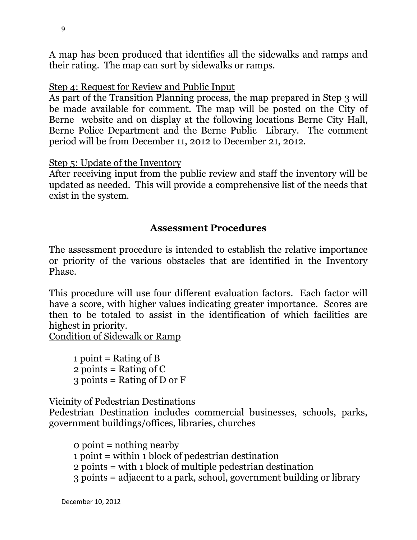A map has been produced that identifies all the sidewalks and ramps and their rating. The map can sort by sidewalks or ramps.

### Step 4: Request for Review and Public Input

As part of the Transition Planning process, the map prepared in Step 3 will be made available for comment. The map will be posted on the City of Berne website and on display at the following locations Berne City Hall, Berne Police Department and the Berne Public Library. The comment period will be from December 11, 2012 to December 21, 2012.

#### Step 5: Update of the Inventory

After receiving input from the public review and staff the inventory will be updated as needed. This will provide a comprehensive list of the needs that exist in the system.

### **Assessment Procedures**

The assessment procedure is intended to establish the relative importance or priority of the various obstacles that are identified in the Inventory Phase.

This procedure will use four different evaluation factors. Each factor will have a score, with higher values indicating greater importance. Scores are then to be totaled to assist in the identification of which facilities are highest in priority.

Condition of Sidewalk or Ramp

1 point = Rating of B 2 points = Rating of  $C$  $3$  points = Rating of D or F

Vicinity of Pedestrian Destinations

Pedestrian Destination includes commercial businesses, schools, parks, government buildings/offices, libraries, churches

0 point = nothing nearby 1 point = within 1 block of pedestrian destination 2 points = with 1 block of multiple pedestrian destination 3 points = adjacent to a park, school, government building or library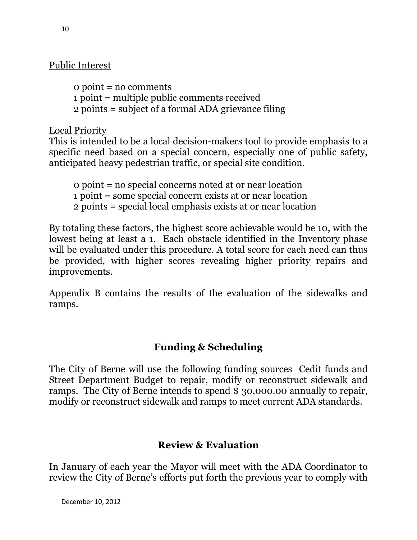## Public Interest

0 point = no comments 1 point = multiple public comments received 2 points = subject of a formal ADA grievance filing

Local Priority

This is intended to be a local decision-makers tool to provide emphasis to a specific need based on a special concern, especially one of public safety, anticipated heavy pedestrian traffic, or special site condition.

0 point = no special concerns noted at or near location 1 point = some special concern exists at or near location 2 points = special local emphasis exists at or near location

By totaling these factors, the highest score achievable would be 10, with the lowest being at least a 1. Each obstacle identified in the Inventory phase will be evaluated under this procedure. A total score for each need can thus be provided, with higher scores revealing higher priority repairs and improvements.

Appendix B contains the results of the evaluation of the sidewalks and ramps.

# **Funding & Scheduling**

The City of Berne will use the following funding sources Cedit funds and Street Department Budget to repair, modify or reconstruct sidewalk and ramps. The City of Berne intends to spend \$ 30,000.00 annually to repair, modify or reconstruct sidewalk and ramps to meet current ADA standards.

# **Review & Evaluation**

In January of each year the Mayor will meet with the ADA Coordinator to review the City of Berne's efforts put forth the previous year to comply with